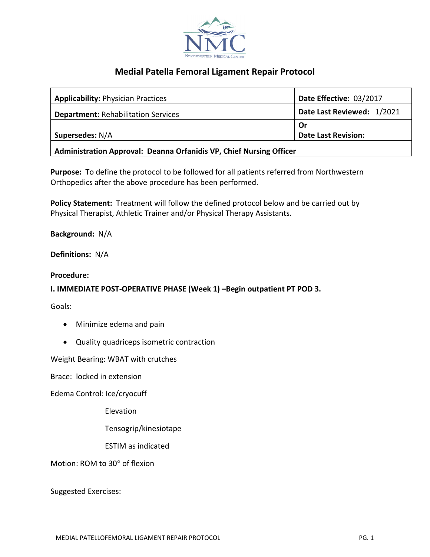

# **Medial Patella Femoral Ligament Repair Protocol**

| <b>Applicability: Physician Practices</b>  | Date Effective: 03/2017    |
|--------------------------------------------|----------------------------|
| <b>Department: Rehabilitation Services</b> | Date Last Reviewed: 1/2021 |
|                                            | Or                         |
| Supersedes: N/A                            | <b>Date Last Revision:</b> |
| alitic di la Africandifaction affi         |                            |

**Administration Approval: Deanna Orfanidis VP, Chief Nursing Officer**

**Purpose:** To define the protocol to be followed for all patients referred from Northwestern Orthopedics after the above procedure has been performed.

**Policy Statement:** Treatment will follow the defined protocol below and be carried out by Physical Therapist, Athletic Trainer and/or Physical Therapy Assistants.

**Background:** N/A

**Definitions:** N/A

**Procedure:**

## **I. IMMEDIATE POST-OPERATIVE PHASE (Week 1) –Begin outpatient PT POD 3.**

Goals:

- Minimize edema and pain
- Quality quadriceps isometric contraction

Weight Bearing: WBAT with crutches

Brace: locked in extension

Edema Control: Ice/cryocuff

Elevation

Tensogrip/kinesiotape

ESTIM as indicated

Motion: ROM to 30° of flexion

Suggested Exercises: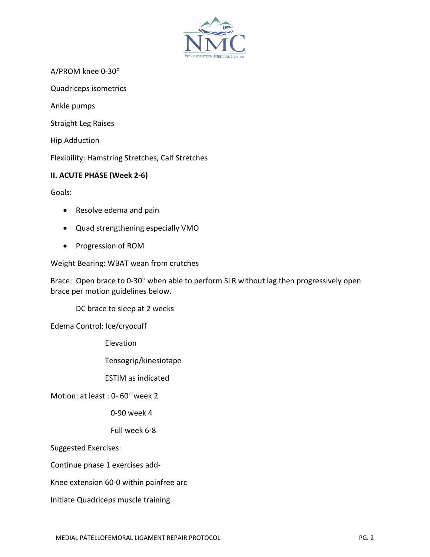

A/PROM knee 0-30°

Quadriceps isometrics

Ankle pumps

Straight Leg Raises

Hip Adduction

Flexibility: Hamstring Stretches, Calf Stretches

### **II. ACUTE PHASE (Week 2-6)**

Goals:

- Resolve edema and pain
- Quad strengthening especially VMO
- Progression of ROM

Weight Bearing: WBAT wean from crutches

Brace: Open brace to 0-30° when able to perform SLR without lag then progressively open brace per motion guidelines below.

DC brace to sleep at 2 weeks

Edema Control: Ice/cryocuff

Elevation

Tensogrip/kinesiotape

ESTIM as indicated

Motion: at least : 0- 60° week 2

0-90 week 4

Full week 6-8

Suggested Exercises:

Continue phase 1 exercises add-

Knee extension 60-0 within painfree arc

Initiate Quadriceps muscle training